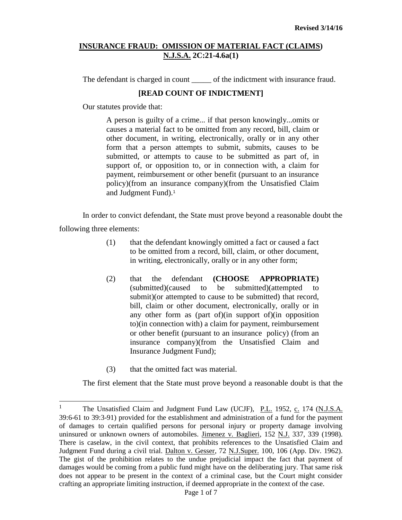The defendant is charged in count \_\_\_\_\_\_ of the indictment with insurance fraud.

## **[READ COUNT OF INDICTMENT]**

Our statutes provide that:

A person is guilty of a crime... if that person knowingly...omits or causes a material fact to be omitted from any record, bill, claim or other document, in writing, electronically, orally or in any other form that a person attempts to submit, submits, causes to be submitted, or attempts to cause to be submitted as part of, in support of, or opposition to, or in connection with, a claim for payment, reimbursement or other benefit (pursuant to an insurance policy)(from an insurance company)(from the Unsatisfied Claim and Judgment Fund).<sup>1</sup>

In order to convict defendant, the State must prove beyond a reasonable doubt the following three elements:

- (1) that the defendant knowingly omitted a fact or caused a fact to be omitted from a record, bill, claim, or other document, in writing, electronically, orally or in any other form;
- (2) that the defendant **(CHOOSE APPROPRIATE)** (submitted)(caused to be submitted)(attempted submit)(or attempted to cause to be submitted) that record, bill, claim or other document, electronically, orally or in any other form as (part of)(in support of)(in opposition to)(in connection with) a claim for payment, reimbursement or other benefit (pursuant to an insurance policy) (from an insurance company)(from the Unsatisfied Claim and Insurance Judgment Fund);
- (3) that the omitted fact was material.

The first element that the State must prove beyond a reasonable doubt is that the

 $\mathbf{1}$ <sup>1</sup> The Unsatisfied Claim and Judgment Fund Law (UCJF), P.L. 1952, c. 174 (N.J.S.A. 39:6-61 to 39:3-91) provided for the establishment and administration of a fund for the payment of damages to certain qualified persons for personal injury or property damage involving uninsured or unknown owners of automobiles. Jimenez v. Baglieri, 152 N.J. 337, 339 (1998). There is caselaw, in the civil context, that prohibits references to the Unsatisfied Claim and Judgment Fund during a civil trial. Dalton v. Gesser, 72 N.J.Super. 100, 106 (App. Div. 1962). The gist of the prohibition relates to the undue prejudicial impact the fact that payment of damages would be coming from a public fund might have on the deliberating jury. That same risk does not appear to be present in the context of a criminal case, but the Court might consider crafting an appropriate limiting instruction, if deemed appropriate in the context of the case.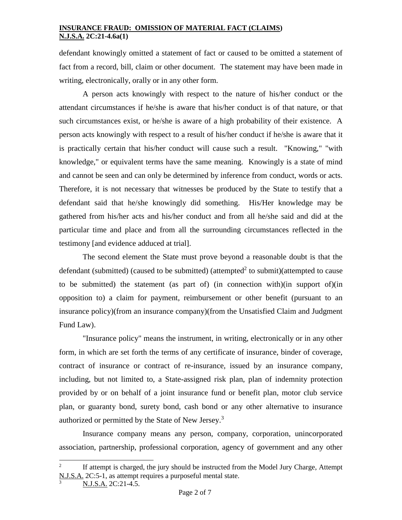defendant knowingly omitted a statement of fact or caused to be omitted a statement of fact from a record, bill, claim or other document. The statement may have been made in writing, electronically, orally or in any other form.

A person acts knowingly with respect to the nature of his/her conduct or the attendant circumstances if he/she is aware that his/her conduct is of that nature, or that such circumstances exist, or he/she is aware of a high probability of their existence. A person acts knowingly with respect to a result of his/her conduct if he/she is aware that it is practically certain that his/her conduct will cause such a result. "Knowing," "with knowledge," or equivalent terms have the same meaning. Knowingly is a state of mind and cannot be seen and can only be determined by inference from conduct, words or acts. Therefore, it is not necessary that witnesses be produced by the State to testify that a defendant said that he/she knowingly did something. His/Her knowledge may be gathered from his/her acts and his/her conduct and from all he/she said and did at the particular time and place and from all the surrounding circumstances reflected in the testimony [and evidence adduced at trial].

The second element the State must prove beyond a reasonable doubt is that the defendant (submitted) (caused to be submitted) (attempted<sup>2</sup> to submit)(attempted to cause to be submitted) the statement (as part of) (in connection with)(in support of)(in opposition to) a claim for payment, reimbursement or other benefit (pursuant to an insurance policy)(from an insurance company)(from the Unsatisfied Claim and Judgment Fund Law).

"Insurance policy" means the instrument, in writing, electronically or in any other form, in which are set forth the terms of any certificate of insurance, binder of coverage, contract of insurance or contract of re-insurance, issued by an insurance company, including, but not limited to, a State-assigned risk plan, plan of indemnity protection provided by or on behalf of a joint insurance fund or benefit plan, motor club service plan, or guaranty bond, surety bond, cash bond or any other alternative to insurance authorized or permitted by the State of New Jersey.<sup>3</sup>

Insurance company means any person, company, corporation, unincorporated association, partnership, professional corporation, agency of government and any other

l

<sup>2</sup> If attempt is charged, the jury should be instructed from the Model Jury Charge, Attempt N.J.S.A. 2C:5-1, as attempt requires a purposeful mental state.

N.J.S.A. 2C:21-4.5.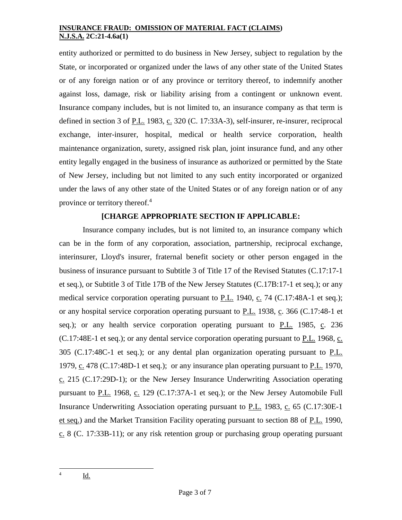entity authorized or permitted to do business in New Jersey, subject to regulation by the State, or incorporated or organized under the laws of any other state of the United States or of any foreign nation or of any province or territory thereof, to indemnify another against loss, damage, risk or liability arising from a contingent or unknown event. Insurance company includes, but is not limited to, an insurance company as that term is defined in section 3 of P.L. 1983, c. 320 (C. 17:33A-3), self-insurer, re-insurer, reciprocal exchange, inter-insurer, hospital, medical or health service corporation, health maintenance organization, surety, assigned risk plan, joint insurance fund, and any other entity legally engaged in the business of insurance as authorized or permitted by the State of New Jersey, including but not limited to any such entity incorporated or organized under the laws of any other state of the United States or of any foreign nation or of any province or territory thereof.<sup>4</sup>

# **[CHARGE APPROPRIATE SECTION IF APPLICABLE:**

Insurance company includes, but is not limited to, an insurance company which can be in the form of any corporation, association, partnership, reciprocal exchange, interinsurer, Lloyd's insurer, fraternal benefit society or other person engaged in the business of insurance pursuant to Subtitle 3 of Title 17 of the Revised Statutes (C.17:17-1 et seq.), or Subtitle 3 of Title 17B of the New Jersey Statutes (C.17B:17-1 et seq.); or any medical service corporation operating pursuant to  $P.L.$  1940,  $C. 74$  [\(C.17:48A-1 et seq.\)](http://web2.westlaw.com/find/default.wl?rp=%2ffind%2fdefault.wl&vc=0&DB=1000045&DocName=NJST17%3A48A%2D1&FindType=L&AP=&fn=_top&rs=WLW8.02&mt=Westlaw&vr=2.0&sv=Split); or any hospital service corporation operating pursuant to P.L. 1938, c. 366 [\(C.17:48-1 et](http://web2.westlaw.com/find/default.wl?rp=%2ffind%2fdefault.wl&vc=0&DB=1000045&DocName=NJST17%3A48%2D1&FindType=L&AP=&fn=_top&rs=WLW8.02&mt=Westlaw&vr=2.0&sv=Split)  [seq.\)](http://web2.westlaw.com/find/default.wl?rp=%2ffind%2fdefault.wl&vc=0&DB=1000045&DocName=NJST17%3A48%2D1&FindType=L&AP=&fn=_top&rs=WLW8.02&mt=Westlaw&vr=2.0&sv=Split); or any health service corporation operating pursuant to P.L. 1985, c. 236 [\(C.17:48E-1 et seq.\)](http://web2.westlaw.com/find/default.wl?rp=%2ffind%2fdefault.wl&vc=0&DB=1000045&DocName=NJST17%3A48E%2D1&FindType=L&AP=&fn=_top&rs=WLW8.02&mt=Westlaw&vr=2.0&sv=Split); or any dental service corporation operating pursuant to P.L. 1968, c. 305 [\(C.17:48C-1 et seq.\)](http://web2.westlaw.com/find/default.wl?rp=%2ffind%2fdefault.wl&vc=0&DB=1000045&DocName=NJST17%3A48C%2D1&FindType=L&AP=&fn=_top&rs=WLW8.02&mt=Westlaw&vr=2.0&sv=Split); or any dental plan organization operating pursuant to P.L. 1979, c. 478 [\(C.17:48D-1 et seq.\)](http://web2.westlaw.com/find/default.wl?rp=%2ffind%2fdefault.wl&vc=0&DB=1000045&DocName=NJST17%3A48D%2D1&FindType=L&AP=&fn=_top&rs=WLW8.02&mt=Westlaw&vr=2.0&sv=Split); or any insurance plan operating pursuant to P.L. 1970, c. 215 [\(C.17:29D-1\)](http://web2.westlaw.com/find/default.wl?rp=%2ffind%2fdefault.wl&vc=0&DB=1000045&DocName=NJST17%3A29D%2D1&FindType=L&AP=&fn=_top&rs=WLW8.02&mt=Westlaw&vr=2.0&sv=Split); or the New Jersey Insurance Underwriting Association operating pursuant to P.L. 1968, c. 129 [\(C.17:37A-1 et seq.\)](http://web2.westlaw.com/find/default.wl?rp=%2ffind%2fdefault.wl&vc=0&DB=1000045&DocName=NJST17%3A37A%2D1&FindType=L&AP=&fn=_top&rs=WLW8.02&mt=Westlaw&vr=2.0&sv=Split); or the New Jersey Automobile Full Insurance Underwriting Association operating pursuant to P.L. 1983, c. 65 (C.17:30E-1) [et seq.\)](http://web2.westlaw.com/find/default.wl?rp=%2ffind%2fdefault.wl&vc=0&DB=1000045&DocName=NJST17%3A30E%2D1&FindType=L&AP=&fn=_top&rs=WLW8.02&mt=Westlaw&vr=2.0&sv=Split) and the Market Transition Facility operating pursuant to section 88 of P.L. 1990,  $c. 8$  (C. [17:33B-11\)](http://web2.westlaw.com/find/default.wl?rp=%2ffind%2fdefault.wl&vc=0&DB=1000045&DocName=NJST17%3A33B%2D11&FindType=L&AP=&fn=_top&rs=WLW8.02&mt=Westlaw&vr=2.0&sv=Split); or any risk retention group or purchasing group operating pursuant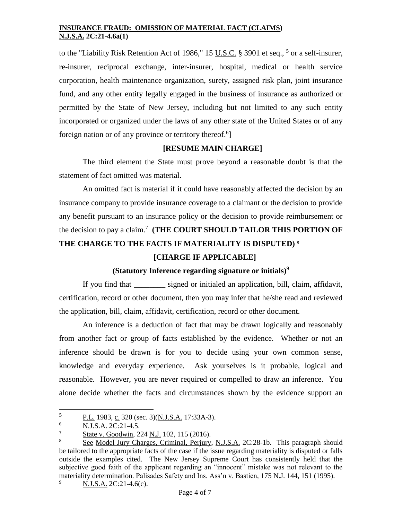to the "Liability Risk Retention Act of 1986," 15  $\underline{U.S.C.}$  [§ 3901 et seq.,](http://web2.westlaw.com/find/default.wl?rp=%2ffind%2fdefault.wl&vc=0&DB=1000546&DocName=15USCAS3901&FindType=L&AP=&fn=_top&rs=WLW8.02&mt=Westlaw&vr=2.0&sv=Split) <sup>5</sup> or a self-insurer, re-insurer, reciprocal exchange, inter-insurer, hospital, medical or health service corporation, health maintenance organization, surety, assigned risk plan, joint insurance fund, and any other entity legally engaged in the business of insurance as authorized or permitted by the State of New Jersey, including but not limited to any such entity incorporated or organized under the laws of any other state of the United States or of any foreign nation or of any province or territory thereof.<sup>6</sup>]

# **[RESUME MAIN CHARGE]**

The third element the State must prove beyond a reasonable doubt is that the statement of fact omitted was material.

An omitted fact is material if it could have reasonably affected the decision by an insurance company to provide insurance coverage to a claimant or the decision to provide any benefit pursuant to an insurance policy or the decision to provide reimbursement or the decision to pay a claim.<sup>7</sup> **(THE COURT SHOULD TAILOR THIS PORTION OF THE CHARGE TO THE FACTS IF MATERIALITY IS DISPUTED)** <sup>8</sup>

### **[CHARGE IF APPLICABLE]**

# **(Statutory Inference regarding signature or initials)**<sup>9</sup>

If you find that \_\_\_\_\_\_\_\_ signed or initialed an application, bill, claim, affidavit, certification, record or other document, then you may infer that he/she read and reviewed the application, bill, claim, affidavit, certification, record or other document.

An inference is a deduction of fact that may be drawn logically and reasonably from another fact or group of facts established by the evidence. Whether or not an inference should be drawn is for you to decide using your own common sense, knowledge and everyday experience. Ask yourselves is it probable, logical and reasonable. However, you are never required or compelled to draw an inference. You alone decide whether the facts and circumstances shown by the evidence support an

<sup>5</sup>  $\frac{5}{10}$  P.L. 1983, c. 320 (sec. 3)(N.J.S.A. 17:33A-3).

<sup>6</sup> N.J.S.A. 2C:21-4.5.

 $\frac{7}{8}$  State v. Goodwin, 224 N.J. 102, 115 (2016).

See Model Jury Charges, Criminal, Perjury, N.J.S.A. 2C:28-1b. This paragraph should be tailored to the appropriate facts of the case if the issue regarding materiality is disputed or falls outside the examples cited. The New Jersey Supreme Court has consistently held that the subjective good faith of the applicant regarding an "innocent" mistake was not relevant to the materiality determination. Palisades Safety and Ins. Ass'n v. Bastien, 175 N.J. 144, 151 (1995).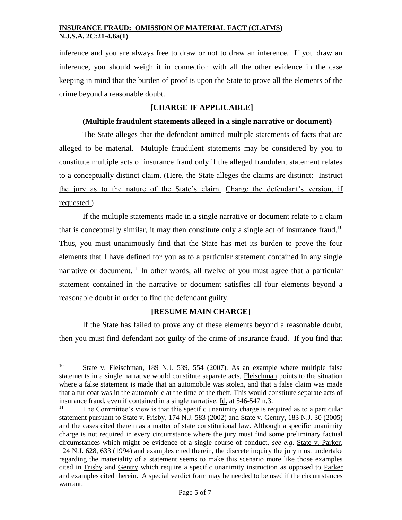inference and you are always free to draw or not to draw an inference. If you draw an inference, you should weigh it in connection with all the other evidence in the case keeping in mind that the burden of proof is upon the State to prove all the elements of the crime beyond a reasonable doubt.

### **[CHARGE IF APPLICABLE]**

#### **(Multiple fraudulent statements alleged in a single narrative or document)**

The State alleges that the defendant omitted multiple statements of facts that are alleged to be material. Multiple fraudulent statements may be considered by you to constitute multiple acts of insurance fraud only if the alleged fraudulent statement relates to a conceptually distinct claim. (Here, the State alleges the claims are distinct: Instruct the jury as to the nature of the State's claim. Charge the defendant's version, if requested.)

If the multiple statements made in a single narrative or document relate to a claim that is conceptually similar, it may then constitute only a single act of insurance fraud.<sup>10</sup> Thus, you must unanimously find that the State has met its burden to prove the four elements that I have defined for you as to a particular statement contained in any single narrative or document.<sup>11</sup> In other words, all twelve of you must agree that a particular statement contained in the narrative or document satisfies all four elements beyond a reasonable doubt in order to find the defendant guilty.

## **[RESUME MAIN CHARGE]**

If the State has failed to prove any of these elements beyond a reasonable doubt, then you must find defendant not guilty of the crime of insurance fraud. If you find that

 $10\,$ State v. Fleischman, 189 N.J. 539, 554 (2007). As an example where multiple false statements in a single narrative would constitute separate acts, Fleischman points to the situation where a false statement is made that an automobile was stolen, and that a false claim was made that a fur coat was in the automobile at the time of the theft. This would constitute separate acts of insurance fraud, even if contained in a single narrative. Id. at 546-547 n.3.

<sup>&</sup>lt;sup>11</sup> The Committee's view is that this specific unanimity charge is required as to a particular statement pursuant to State v. Frisby, 174 N.J. 583 (2002) and State v. Gentry, 183 N.J. 30 (2005) and the cases cited therein as a matter of state constitutional law. Although a specific unanimity charge is not required in every circumstance where the jury must find some preliminary factual circumstances which might be evidence of a single course of conduct, *see e.g*. State v. Parker, 124 N.J. 628, 633 (1994) and examples cited therein, the discrete inquiry the jury must undertake regarding the materiality of a statement seems to make this scenario more like those examples cited in Frisby and Gentry which require a specific unanimity instruction as opposed to Parker and examples cited therein. A special verdict form may be needed to be used if the circumstances warrant.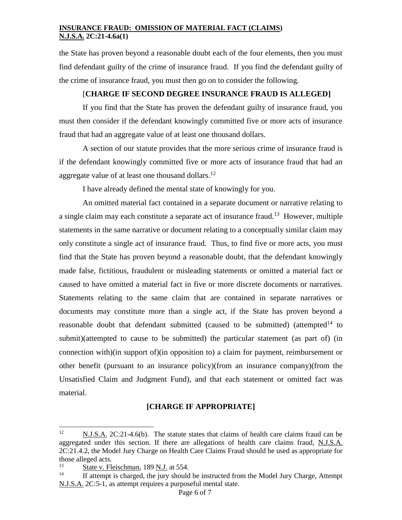the State has proven beyond a reasonable doubt each of the four elements, then you must find defendant guilty of the crime of insurance fraud. If you find the defendant guilty of the crime of insurance fraud, you must then go on to consider the following.

## [**CHARGE IF SECOND DEGREE INSURANCE FRAUD IS ALLEGED]**

If you find that the State has proven the defendant guilty of insurance fraud, you must then consider if the defendant knowingly committed five or more acts of insurance fraud that had an aggregate value of at least one thousand dollars.

A section of our statute provides that the more serious crime of insurance fraud is if the defendant knowingly committed five or more acts of insurance fraud that had an aggregate value of at least one thousand dollars. $^{12}$ 

I have already defined the mental state of knowingly for you.

An omitted material fact contained in a separate document or narrative relating to a single claim may each constitute a separate act of insurance fraud.<sup>13</sup> However, multiple statements in the same narrative or document relating to a conceptually similar claim may only constitute a single act of insurance fraud. Thus, to find five or more acts, you must find that the State has proven beyond a reasonable doubt, that the defendant knowingly made false, fictitious, fraudulent or misleading statements or omitted a material fact or caused to have omitted a material fact in five or more discrete documents or narratives. Statements relating to the same claim that are contained in separate narratives or documents may constitute more than a single act, if the State has proven beyond a reasonable doubt that defendant submitted (caused to be submitted) (attempted<sup>14</sup> to submit)(attempted to cause to be submitted) the particular statement (as part of) (in connection with)(in support of)(in opposition to) a claim for payment, reimbursement or other benefit (pursuant to an insurance policy)(from an insurance company)(from the Unsatisfied Claim and Judgment Fund), and that each statement or omitted fact was material.

# **[CHARGE IF APPROPRIATE]**

 $12<sup>12</sup>$ N.J.S.A. 2C:21-4.6(b). The statute states that claims of health care claims fraud can be aggregated under this section. If there are allegations of health care claims fraud, N.J.S.A. 2C:21.4.2, the Model Jury Charge on Health Care Claims Fraud should be used as appropriate for those alleged acts.

 $\frac{13}{14}$  State v. Fleischman, 189 N.J. at 554.

If attempt is charged, the jury should be instructed from the Model Jury Charge, Attempt N.J.S.A. 2C:5-1, as attempt requires a purposeful mental state.